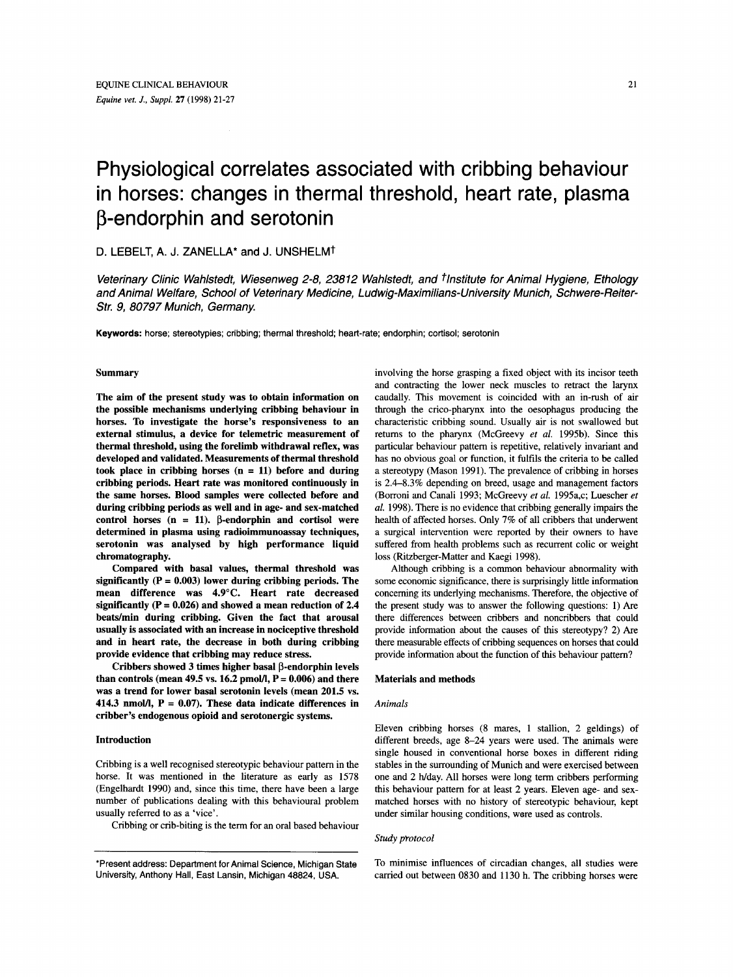# Physiological correlates associated with cribbing behaviour in horses: changes in thermal threshold, heart rate, plasma  $\beta$ -endorphin and serotonin

# D. LEBELT, A. J. ZANELLA\* **and** J. UNSHELMt

*Veterinary Clinic Wahlstedt, Wiesenweg 2-8, 238 12 Wahlstedt, and tlnstitute for Animal Hygiene, Ethology and Animal Welfare, School of Veterinary Medicine, Ludwig-Maximilians-University Munich, Sch were- Reiter-Str. 9, 80797 Munich, Germany.* 

**Keywords:** horse; stereotypies; cribbing; thermal threshold; heart-rate; endorphin; cortisol; serotonin

## Summary

The aim of the present study was to obtain information on the possible mechanisms underlying cribbing behaviour in horses. To investigate the horse's responsiveness to an external stimulus, a device for telemetric measurement of thermal threshold, using the forelimb withdrawal reflex, was developed and validated. Measurements of thermal threshold took place in cribbing horses (n = **11)** before and during cribbing periods. Heart rate was monitored continuously in the same horses. Blood samples were collected before and during cribbing periods as well and in age- and sex-matched control horses  $(n = 11)$ .  $\beta$ -endorphin and cortisol were determined in plasma using radioimmunoassay techniques, serotonin was analysed by high performance liquid chromatography.

Compared with basal values, thermal threshold was significantly  $(P = 0.003)$  lower during cribbing periods. The mean difference was **4.9"C.** Heart rate decreased significantly (P = **0.026)** and showed a mean reduction of **2.4**  beats/min during cribbing. Given the fact that arousal usually is associated with an increase in nociceptive threshold and in heart rate, the decrease in both during cribbing provide evidence that cribbing may reduce stress.

Cribbers showed **3** times higher basal P-endorphin levels than controls (mean  $49.5$  vs.  $16.2$  pmol/l,  $P = 0.006$ ) and there was a trend for lower basal serotonin levels (mean **201.5** vs.  $414.3$  nmol/l,  $P = 0.07$ ). These data indicate differences in cribber's endogenous opioid and serotonergic systems.

# Introduction

Cribbing is a well recognised stereotypic behaviour pattern in the horse. It was mentioned in the literature as early as 1578 (Engelhardt 1990) and, since this time, there have been a large number of publications dealing with this behavioural problem usually referred to as a 'vice'.

Cribbing or crib-biting is the term for an oral based behaviour

involving the horse grasping a fixed object with its incisor teeth and contracting the lower neck muscles to retract the larynx caudally. This movement is coincided with an in-rush of air through the crico-pharynx into the oesophagus producing the characteristic cribbing sound. Usually air is not swallowed but returns to the pharynx (McGreevy *et al.* 1995b). Since this particular behaviour pattern is repetitive, relatively invariant and has no obvious goal or function, it fulfils the criteria to be called a stereotypy (Mason 1991). The prevalence of cribbing in horses is 2.4-8.3% depending on breed, usage and management factors (Borroni and Canali 1993; McGreevy *et* **al.** 1995a,c; Luescher *et al.* 1998). There is no evidence that cribbing generally impairs the health of affected horses. Only 7% of all cribbers that underwent a surgical intervention were reported by their owners to have suffered from health problems such as recurrent colic or weight loss (Ritzberger-Matter and Kaegi 1998).

Although cribbing is a common behaviour abnormality with some economic significance, there is surprisingly little information concerning its underlying mechanisms. Therefore, the objective of the present study was to answer the following questions: 1) Are there differences between cribbers and noncribbers that could provide information about the causes of this stereotypy? 2) Are there measurable effects of cribbing sequences on horses that could provide information about the function of **this** behaviour pattern?

# Materials and methods

# *Animals*

Eleven cribbing horses (8 mares, 1 stallion, 2 geldings) of different breeds, age 8-24 years were used. The animals were single housed in conventional horse boxes in different riding stables in the surrounding of Munich and were exercised between one and 2 h/day. All horses were long term cribbers performing this behaviour pattern for at least 2 years. Eleven age- and sexmatched horses with no history of stereotypic behaviour, kept under similar housing conditions, were used as controls.

#### *Study ppotocol*

To minimise influences of circadian changes, all studies were carried out between **0830** and 1130 h. The cribbing horses were

<sup>\*</sup>Present address: Department for Animal Science, Michigan State University, Anthony Hall, East Lansin, Michigan 48824, USA.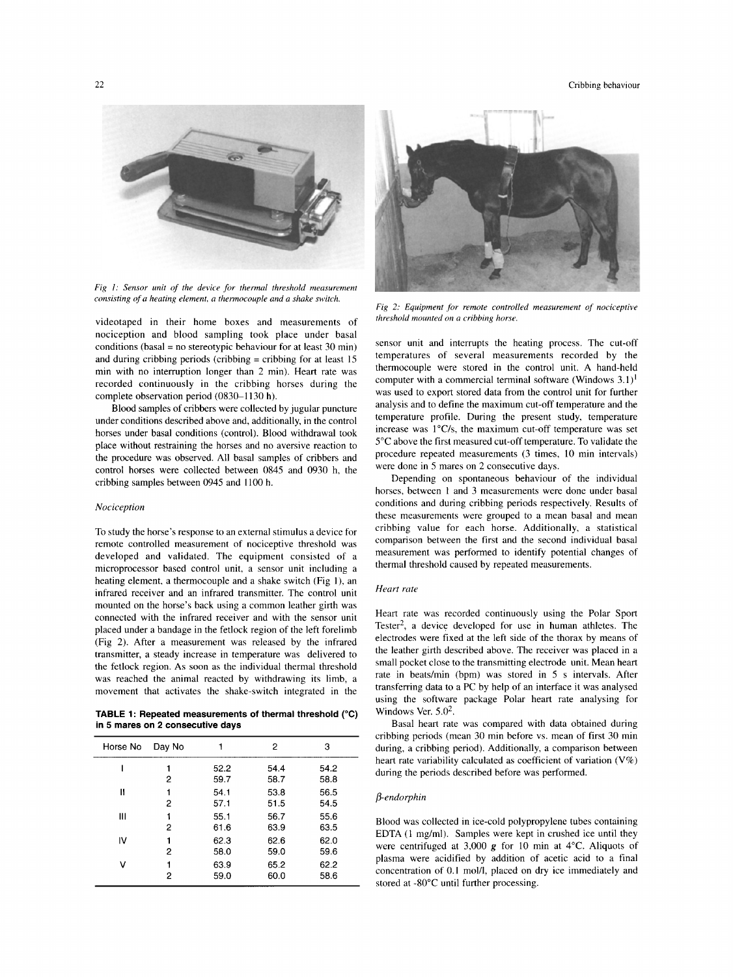22 Cribbing behaviour contracts of the contract of the contract of the contract of the contract of the contract of the contract of the contract of the contract of the contract of the contract of the contract of the contrac



Fig 1: Sensor unit of the device for thermal threshold measurement *consisting of a heating element, a thermocouple and a shake switch.* 

videotaped in their home boxes and measurements of nociception and blood sampling took place under basal conditions (basal = no stereotypic behaviour for at least 30 min) and during cribbing periods (cribbing = cribbing for at least 15 min with no interruption longer than 2 min). Heart rate was recorded continuously in the cribbing horses during the complete observation period (0830-1130 h).

Blood samples of cribbers were collected by jugular puncture under conditions described above and, additionally, in the control horses under basal conditions (control). Blood withdrawal took place without restraining the horses and no aversive reaction to the procedure was observed. All basal samples of cribbers and control horses were collected between 0845 and 0930 h, the cribbing samples between 0945 and 1100 h.

#### *Nociception*

To study the horse's response to an external stimulus a device for remote controlled measurement of nociceptive threshold was developed and validated. The equipment consisted **of** a microprocessor based control unit, a sensor unit including a heating element, a thermocouple and a shake switch (Fig **I),** an infrared receiver and an infrared transmitter. The control unit mounted on the horse's back using a common leather girth was connected with the infrared receiver and with the sensor unit placed under a bandage in the fetlock region of the left forelimb (Fig 2). After a measurement was released by the infrared transmitter, a steady increase in temperature was delivered to the fetlock region. As soon as the individual thermal threshold was reached the animal reacted by withdrawing its limb, a movement that activates the shake-switch integrated in the

**TABLE 1: Repeated measurements of thermal threshold ("C) in 5 mares on 2 consecutive days** 

| Horse No | Day No |              | 2            | 3            |
|----------|--------|--------------|--------------|--------------|
|          | 2      | 52.2<br>59.7 | 54.4<br>58.7 | 54.2<br>58.8 |
| П        | 2      | 54.1<br>57.1 | 53.8<br>51.5 | 56.5<br>54.5 |
| Ш        | 2      | 55.1<br>61.6 | 56.7<br>63.9 | 55.6<br>63.5 |
| IV       | 2      | 62.3<br>58.0 | 62.6<br>59.0 | 62.0<br>59.6 |
| v        | 2      | 63.9<br>59.0 | 65.2<br>60.0 | 62.2<br>58.6 |



*Fig 2: Equipment for remote controlled measurement* of *nociceptive threshold mounted on a cribbing horse.* 

sensor unit and interrupts the heating process. The cut-off temperatures of several measurements recorded by the thermocouple were stored in the control unit. A hand-held computer with a commercial terminal software (Windows 3.1)' was used to export stored data from the control unit for further analysis and to define the maximum cut-off temperature and the temperature profile. During the present study, temperature increase was  $1^{\circ}$ C/s, the maximum cut-off temperature was set 5°C above the first measured cut-off temperature. To validate the procedure repeated measurements (3 times, 10 min intervals) were done in *5* mares on 2 consecutive days.

Depending on spontaneous behaviour of the individual horses, between 1 and 3 measurements were done under basal conditions and during cribbing periods respectively. Results of these measurements were grouped to a mean basal and mean cribbing value for each horse. Additionally, a statistical comparison between the first and the second individual basal measurement was performed to identify potential changes of thermal threshold caused by repeated measurements.

#### *Heart rate*

Heart rate was recorded continuously using the Polar Sport Tester2, a device developed for use in human athletes. The electrodes were fixed at the left side of the thorax by means of the leather girth described above. The receiver was placed in a small pocket close to the transmitting electrode unit. Mean heart rate in beats/min (bpm) was stored in 5 s intervals. After transferring data to a PC by help of an interface it was analysed using the software package Polar heart rate analysing for Windows Ver.  $5.0<sup>2</sup>$ .

Basal heart rate was compared with data obtained during cribbing periods (mean 30 min before vs. mean of first 30 min during, a cribbing period). Additionally, a comparison between heart rate variability calculated as coefficient of variation (V%) during the periods described before was performed.

# /I- *endorphin*

Blood was collected in ice-cold polypropylene tubes containing EDTA (1 mg/ml). Samples were kept in crushed ice until they were centrifuged at 3,000 **g** for 10 min at 4°C. Aliquots of plasma were acidified by addition of acetic acid to a final concentration of 0.1 mol/l, placed on dry ice immediately and stored at -80°C until further processing.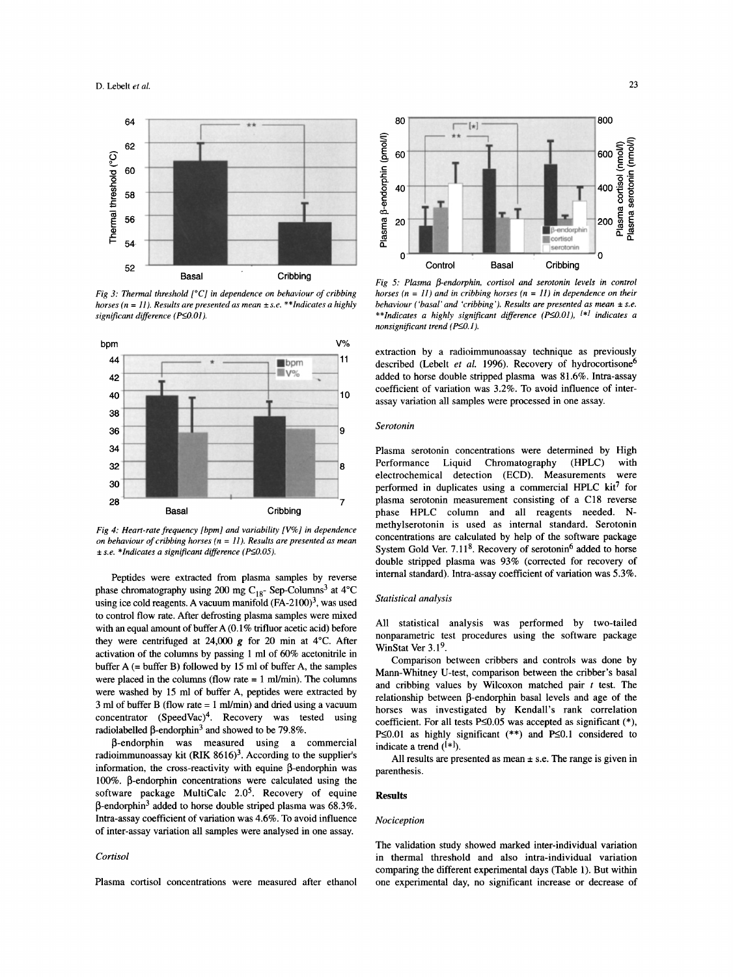

*Fig 3: Thermal threshold* [°C] *in dependence on behaviour of cribbing horses*  $(n = 11)$ *. Results are presented as mean*  $\pm$  *s.e.* \*\**Indicates a highly significant difference* (P $\leq$ 0.01).



*Fig 4: Heart-rate frequency [bpm] and variability [V%] in dependence on behaviour of cribbing horses (n* = *11). Results are presented as mean f f s.e. \*Indicates a significant difference (P* $\leq$ *0.05).* 

Peptides were extracted from plasma samples by reverse phase chromatography using 200 mg C<sub>18</sub>- Sep-Columns<sup>3</sup> at 4°C using ice cold reagents. A vacuum manifold  $(FA-2100)^3$ , was used to control flow rate. After defrosting plasma samples were mixed with an equal amount of buffer A (0.1% trifluor acetic acid) before they were centrifuged at 24,000 **g** for 20 min at 4°C. After activation of the columns by passing 1 ml of 60% acetonitrile in buffer A (= buffer B) followed by 15 **ml** of buffer A, the samples were placed in the columns (flow rate  $= 1$  ml/min). The columns were washed by 15 ml of buffer A, peptides were extracted by  $3$  ml of buffer B (flow rate = 1 ml/min) and dried using a vacuum concentrator  $(SpeedVac)^4$ . Recovery was tested using radiolabelled  $\beta$ -endorphin<sup>3</sup> and showed to be 79.8%.

P-endorphin was measured using a commercial radioimmunoassay kit (RIK  $8616$ <sup>3</sup>. According to the supplier's information, the cross-reactivity with equine  $\beta$ -endorphin was 100%. P-endorphin concentrations were calculated using the software package MultiCalc  $2.0<sup>5</sup>$ . Recovery of equine  $\beta$ -endorphin<sup>3</sup> added to horse double striped plasma was 68.3%. Intra-assay coefficient of variation was 4.6%. To avoid influence of inter-assay variation all samples were analysed in one assay.

#### *Cortisol*

Plasma cortisol concentrations were measured after ethanol



*Fig 5: Plasma P-endorphin, cortisol and serotonin levels in control horses (n* = *11) and in cribbing horses (n* = *11) in dependence on their behaviour ('basal' and 'cribbing'). Results are presented as mean*  $\pm$  *s.e. \*\*Indicates a highly significant difference (EO.Ol), [\*I indicates a nonsignificant trend (P* $\leq$ 0.1).

extraction by a radioimmunoassay technique as previously described (Lebelt *et al.* 1996). Recovery of hydrocortisone<sup>6</sup> added to horse double stripped plasma was 81.6%. Intra-assay coefficient of variation was 3.2%. To avoid influence of interassay variation all samples were processed in one assay.

#### *Serotonin*

Plasma serotonin concentrations were determined by High Performance Liquid Chromatography (HPLC) with electrochemical detection (ECD). Measurements were performed in duplicates using a commercial HPLC  $kit^7$  for plasma serotonin measurement consisting of a C18 reverse phase HPLC column and all reagents needed. **N**methylserotonin is used as internal standard. Serotonin concentrations are calculated by help of the software package System Gold Ver.  $7.11<sup>8</sup>$ . Recovery of serotonin<sup>6</sup> added to horse double stripped plasma was 93% (corrected for recovery of internal standard). Intra-assay coefficient of variation was 5.3%.

# *Statistical analysis*

All statistical analysis was performed by two-tailed nonparametric test procedures using the software package WinStat Ver 3.1<sup>9</sup>.

Comparison between cribbers and controls was done by Mann-Whitney U-test, comparison between the cribber's basal and cribbing values by Wilcoxon matched pair *t* test. The relationship between P-endorphin basal levels and age of the horses was investigated by Kendall's rank correlation coefficient. For all tests P 
solo 30.05 was accepted as significant (\*), P $\leq$ 0.01 as highly significant (\*\*) and P $\leq$ 0.1 considered to indicate a trend  $({*}]$ .

All results are presented as mean  $\pm$  s.e. The range is given in parenthesis.

#### **Results**

#### *Nociception*

The validation study showed marked inter-individual variation in thermal threshold and also intra-individual variation comparing the different experimental days (Table 1). But within one experimental day, no significant increase or decrease of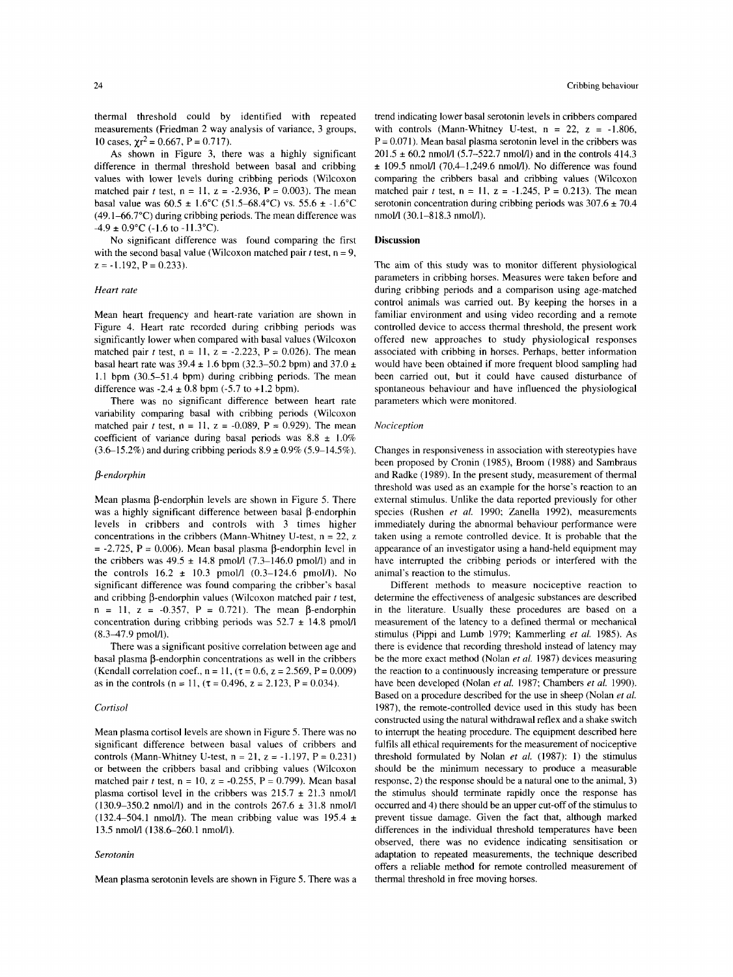thermal threshold could by identified with repeated measurements (Friedman 2 way analysis of variance, 3 groups, 10 cases,  $\chi r^2 = 0.667$ , P = 0.717).

**As** shown in Figure 3, there was a highly significant difference in thermal threshold between basal and cribbing values with lower levels during cribbing periods (Wilcoxon matched pair *t* test,  $n = 11$ ,  $z = -2.936$ ,  $P = 0.003$ ). The mean basal value was 60.5 \* 1.6"C (51.5-68.4"C) vs. 55.6 *i* -1.6"C (49.1-66.7"C) during cribbing periods. The mean difference was  $-4.9 \pm 0.9$ °C (-1.6 to -11.3°C).

No significant difference was found comparing the first with the second basal value (Wilcoxon matched pair  $t$  test,  $n = 9$ ,  $z = -1.192$ ,  $P = 0.233$ ).

## *Heart rate*

Mean heart frequency and heart-rate variation are shown in Figure 4. Heart rate recorded during cribbing periods was significantly lower when compared with basal values (Wilcoxon matched pair *t* test,  $n = 11$ ,  $z = -2.223$ ,  $P = 0.026$ ). The mean basal heart rate was  $39.4 \pm 1.6$  bpm (32.3–50.2 bpm) and 37.0  $\pm$ 1.1 bpm (30.5-51.4 bpm) during cribbing periods. The mean difference was  $-2.4 \pm 0.8$  bpm  $(-5.7 \text{ to } +1.2 \text{ bpm}).$ 

There was no significant difference between heart rate variability comparing basal with cribbing periods (Wilcoxon matched pair *t* test,  $n = 11$ ,  $z = -0.089$ ,  $P = 0.929$ ). The mean coefficient of variance during basal periods was  $8.8 \pm 1.0\%$  $(3.6-15.2%)$  and during cribbing periods  $8.9 \pm 0.9\%$  (5.9-14.5%).

## */?-endorphin*

Mean plasma P-endorphin levels are shown in Figure *5.* There was a highly significant difference between basal  $\beta$ -endorphin levels in cribbers and controls with 3 times higher concentrations in the cribbers (Mann-Whitney U-test, n = 22, **z**   $= -2.725$ ,  $P = 0.006$ ). Mean basal plasma  $\beta$ -endorphin level in the cribbers was  $49.5 \pm 14.8$  pmol/l  $(7.3-146.0 \text{ pmol/l})$  and in the controls 16.2  $\pm$  10.3 pmol/l (0.3-124.6 pmol/l). No significant difference was found comparing the cribber's basal and cribbing  $\beta$ -endorphin values (Wilcoxon matched pair *t* test,  $n = 11$ ,  $z = -0.357$ ,  $P = 0.721$ . The mean  $\beta$ -endorphin concentration during cribbing periods was  $52.7 \pm 14.8$  pmol/l  $(8.3 - 47.9 \text{ pmol/l}).$ 

There was a significant positive correlation between age and basal plasma  $\beta$ -endorphin concentrations as well in the cribbers (Kendall correlation coef.,  $n = 11$ ,  $(\tau = 0.6, z = 2.569, P = 0.009)$ ) as in the controls (n = 11, ( $\tau$  = 0.496, z = 2.123, P = 0.034).

## *Cortisol*

Mean plasma cortisol levels are shown in Figure *5.* There was no significant difference between basal values of cribbers and controls (Mann-Whitney U-test,  $n = 21$ ,  $z = -1.197$ ,  $P = 0.231$ ) or between the cribbers basal and cribbing values (Wilcoxon matched pair *t* test,  $n = 10$ ,  $z = -0.255$ ,  $P = 0.799$ ). Mean basal plasma cortisol level in the cribbers was  $215.7 \pm 21.3$  nmol/l (130.9–350.2 nmol/l) and in the controls  $267.6 \pm 31.8$  nmol/l (132.4–504.1 nmol/l). The mean cribbing value was 195.4  $\pm$ 13.5 nmol/l (138.6-260.1 nmol/l).

#### *Serotonin*

Mean plasma serotonin levels are shown in Figure *5.* There was a

trend indicating lower basal serotonin levels in cribbers compared with controls (Mann-Whitney U-test,  $n = 22$ ,  $z = -1.806$ ,  $P = 0.071$ ). Mean basal plasma serotonin level in the cribbers was  $201.5 \pm 60.2$  nmol/l (5.7–522.7 nmol/l) and in the controls 414.3  $\pm$  109.5 nmol/l (70.4-1,249.6 nmol/l). No difference was found comparing the cribbers basal and cribbing values (Wilcoxon matched pair *t* test,  $n = 11$ ,  $z = -1.245$ ,  $P = 0.213$ ). The mean serotonin concentration during cribbing periods was  $307.6 \pm 70.4$ nmoM (30.1-818.3 nmol/l).

#### **Discussion**

The aim of this study was to monitor different physiological parameters in cribbing horses. Measures were taken before and during cribbing periods and a comparison using age-matched control animals was carried out. By keeping the horses in a familiar environment and using video recording and a remote controlled device to access thermal threshold, the present work offered new approaches to study physiological responses associated with cribbing in horses. Perhaps, better information would have been obtained if more frequent blood sampling had been carried out, but it could have caused disturbance of spontaneous behaviour and have influenced the physiological parameters which were monitored.

#### *Nociception*

Changes in responsiveness in association with stereotypies have been proposed by Cronin (1985), Broom (1988) and Sambraus and Radke (1989). In the present study, measurement of thermal threshold was used as an example for the horse's reaction to an external stimulus. Unlike the data reported previously for other species (Rushen *et al.* 1990; Zanella 1992), measurements immediately during the abnormal behaviour performance were taken using a remote controlled device. It is probable that the appearance of an investigator using a hand-held equipment may have interrupted the cribbing periods or interfered with the animal's reaction to the stimulus.

Different methods to measure nociceptive reaction to determine the effectiveness of analgesic substances are described in the literature. Usually these procedures are based on a measurement of the latency to a defined thermal or mechanical stimulus (Pippi and Lumb 1979; Kammerling *et al.* 1985). **As**  there is evidence that recording threshold instead of latency may be the more exact method (Nolan *et al.* 1987) devices measuring the reaction to a continuously increasing temperature or pressure have been developed (Nolan *et al.* 1987; Chambers *et al.* 1990). Based on a procedure described for the use in sheep (Nolan *et al.*  1987), the remote-controlled device used in this study has been constructed using the natural withdrawal reflex and a shake switch to interrupt the heating procedure. The equipment described here fulfils all ethical requirements for the measurement of nociceptive threshold formulated by Nolan *et al.* (1987): **1)** the stimulus should be the minimum necessary to produce a measurable response, 2) the response should be a natural one to the animal, 3) the stimulus should terminate rapidly once the response has occurred and 4) there should be an upper cut-off of the stimulus to prevent tissue damage. Given the fact that, although marked differences in the individual threshold temperatures have been observed, there was no evidence indicating sensitisation or adaptation to repeated measurements, the technique described offers a reliable method for remote controlled measurement of thermal threshold in free moving horses.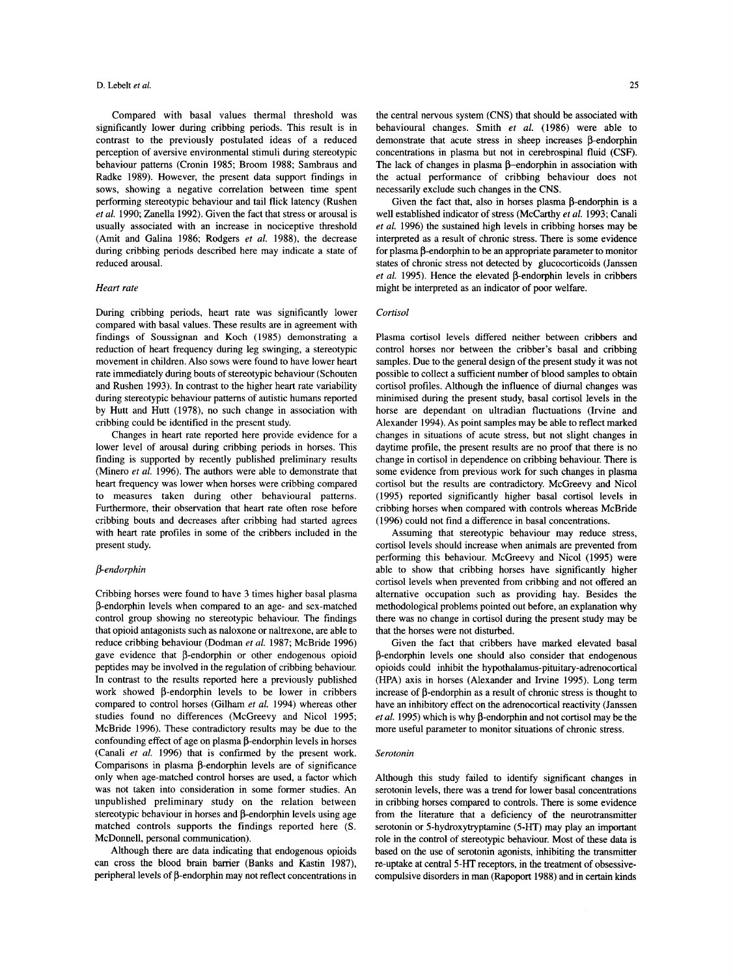Compared with basal values thermal threshold was significantly lower during cribbing periods. This result is in contrast to the previously postulated ideas of a reduced perception of aversive environmental stimuli during stereotypic behaviour patterns (Cronin 1985; Broom 1988; Sambraus and Radke 1989). However, the present data support findings in sows, showing a negative correlation between time spent performing stereotypic behaviour and tail flick latency (Rushen *et al.* 1990; Zanella 1992). Given the fact that stress or arousal is usually associated with an increase in nociceptive threshold (Amit and Galina 1986; Rodgers *et al.* 1988), the decrease during cribbing periods described here may indicate a state of reduced arousal.

#### *Heart rate*

During cribbing periods, heart rate was significantly lower compared with basal values. These results are in agreement with findings of Soussignan and Koch (1985) demonstrating a reduction of heart frequency during leg swinging, a stereotypic movement in children. Also sows were found to have lower heart rate immediately during bouts of stereotypic behaviour (Schouten and Rushen 1993). In contrast to the higher heart rate variability during stereotypic behaviour patterns of autistic humans reported by Hutt and Hutt (1978), no such change in association with cribbing could be identified in the present study.

Changes in heart rate reported here provide evidence for a lower level of arousal during cribbing periods in horses. This finding is supported by recently published preliminary results (Minero *et al.* 1996). The authors were able to demonstrate that heart frequency was lower when horses were cribbing compared to measures taken during other behavioural patterns. Furthermore, their observation that heart rate often rose before cribbing bouts and decreases after cribbing had started agrees with heart rate profiles in some of the cribbers included in the present study.

## *Pendorphin*

Cribbing horses were found to have **3** times higher basal plasma P-endorphin levels when compared to an age- and sex-matched control group showing no stereotypic behaviour. The findings that opioid antagonists such as naloxone or naltrexone, are able to reduce cribbing behaviour (Dodman *et al.* 1987; McBride 1996) gave evidence that  $\beta$ -endorphin or other endogenous opioid peptides may be involved in the regulation of cribbing behaviour. In contrast to the results reported here a previously published work showed  $\beta$ -endorphin levels to be lower in cribbers compared to control horses (Gilham *et al.* 1994) whereas other studies found no differences (McGreevy and Nicol 1995; McBride 1996). These contradictory results may be due to the confounding effect of age on plasma  $\beta$ -endorphin levels in horses (Canali *et al.* 1996) that is confirmed by the present work. Comparisons in plasma  $\beta$ -endorphin levels are of significance only when age-matched control horses are used, a factor which was not taken into consideration in some former studies. An unpublished preliminary study on the relation between stereotypic behaviour in horses and  $\beta$ -endorphin levels using age matched controls supports the findings reported here **(S.**  McDonnell, personal communication).

Although there are data indicating that endogenous opioids can cross the blood brain barrier (Banks and Kastin 1987), peripheral levels of  $\beta$ -endorphin may not reflect concentrations in

the central nervous system (CNS) that should be associated with behavioural changes. Smith *et al.* (1986) were able to demonstrate that acute stress in sheep increases  $\beta$ -endorphin concentrations in plasma but not in cerebrospinal fluid (CSF). The lack of changes in plasma  $\beta$ -endorphin in association with the actual performance of cribbing behaviour does not necessarily exclude such changes in the CNS.

Given the fact that, also in horses plasma  $\beta$ -endorphin is a well established indicator of stress (McCarthy *et al.* 1993; Canali *et al.* 1996) the sustained high levels in cribbing horses may be interpreted as a result of chronic stress. There is some evidence for plasma  $\beta$ -endorphin to be an appropriate parameter to monitor states of chronic stress not detected by glucocorticoids (Janssen  $et$  al. 1995). Hence the elevated  $\beta$ -endorphin levels in cribbers might be interpreted as an indicator of poor welfare.

#### *Cortisol*

Plasma cortisol levels differed neither between cribbers and control horses nor between the cribber's basal and cribbing samples. Due to the general design of the present study it was not possible to collect a sufficient number of blood samples to obtain cortisol profiles. Although the influence of diurnal changes was minimised during the present study, basal cortisol levels in the horse are dependant on ultradian fluctuations (Irvine and Alexander 1994). As point samples may be able to reflect marked changes in situations **of** acute stress, but not slight changes in daytime profile, the present results are no proof that there is no change in cortisol in dependence on cribbing behaviour. There is some evidence from previous work for such changes in plasma cortisol but the results are contradictory. McGreevy and Nicol (1995) reported significantly higher basal cortisol levels in cribbing horses when compared with controls whereas McBride (1996) could not find a difference in basal concentrations.

Assuming that stereotypic behaviour may reduce stress, cortisol levels should increase when animals are prevented from performing this behaviour. McGreevy and Nicol (1995) were able to show that cribbing horses have significantly higher cortisol levels when prevented from cribbing and not offered an alternative occupation such as providing hay. Besides the methodological problems pointed out before, an explanation why there was no change in cortisol during the present study may be that the horses were not disturbed.

Given the fact that cribbers have marked elevated basal 0-endorphin levels one should also consider that endogenous opioids could inhibit the hypothalamus-pituitary-adrenocortical (HPA) axis in horses (Alexander and Irvine 1995). Long term increase of  $\beta$ -endorphin as a result of chronic stress is thought to have an inhibitory effect on the adrenocortical reactivity (Janssen *et al.* 1995) which is why  $\beta$ -endorphin and not cortisol may be the more useful parameter to monitor situations of chronic stress.

#### *Serotonin*

Although this study failed to identify significant changes in serotonin levels, there was a trend for lower basal concentrations in cribbing horses compared to controls. There is some evidence from the literature that a deficiency of the neurotransmitter serotonin or 5-hydroxytryptamine (5-HT) may play an important role in the control of stereotypic behaviour. Most of these data is based on the use of serotonin agonists, inhibiting the transmitter re-uptake at central **5-HT** receptors, in the treatment of obsessivecompulsive disorders in man (Rapoport 1988) and in certain kinds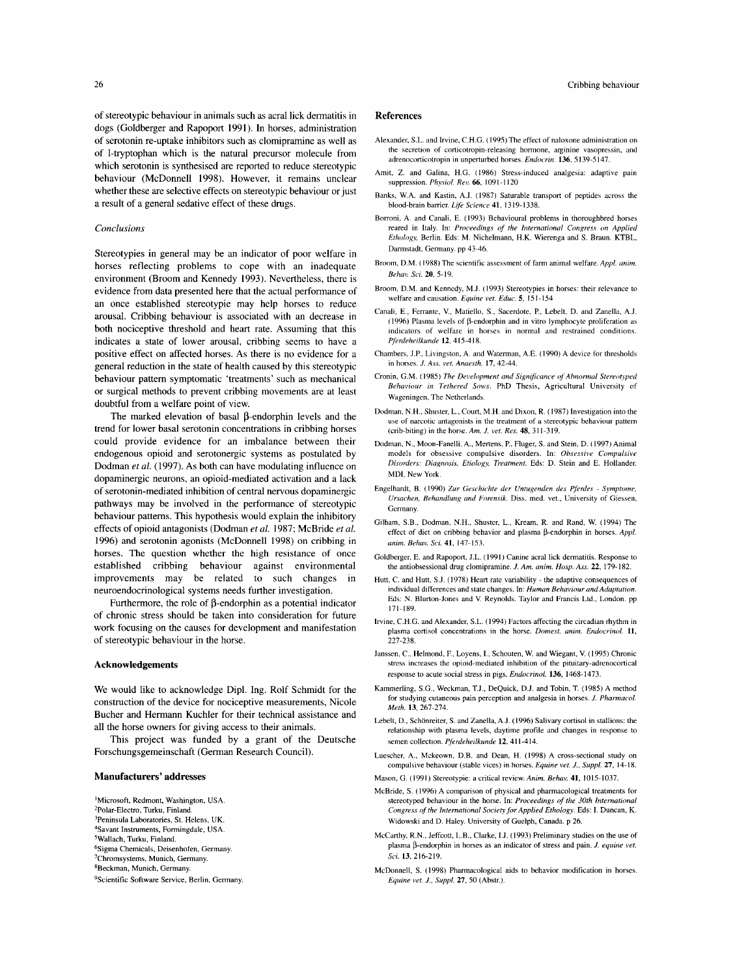of stereotypic behaviour in animals such as acral lick dermatitis in dogs (Goldberger and Rapoport 1991). In horses, administration of serotonin re-uptake inhibitors such as clomipramine as well as of 1-tryptophan which is the natural precursor molecule from which serotonin is synthesised are reported to reduce stereotypic behaviour (McDonnell 1998). However, it remains unclear whether these are selective effects on stereotypic behaviour or just a result of a general sedative effect of these drugs.

#### *Conclusions*

Stereotypies in general may be an indicator of poor welfare in horses reflecting problems to cope with an inadequate environment (Broom and Kennedy 1993). Nevertheless, there is evidence from data presented here that the actual performance of an once established stereotypie may help horses to reduce arousal. Cribbing behaviour is associated with an decrease in both nociceptive threshold and heart rate. Assuming that this indicates a state of lower arousal, cribbing seems to have a positive effect on affected horses. **As** there is no evidence for a general reduction in the state of health caused by this stereotypic behaviour pattern symptomatic 'treatments' such as mechanical or surgical methods to prevent cribbing movements are at least doubtful from a welfare point of view.

The marked elevation of basal  $\beta$ -endorphin levels and the trend for lower basal serotonin concentrations in cribbing horses could provide evidence for an imbalance between their endogenous opioid and serotonergic systems as postulated by Dodman *et al.* (1997). As both can have modulating influence on dopaminergic neurons, an opioid-mediated activation and a lack of serotonin-mediated inhibition of central nervous dopaminergic pathways may be involved in the performance of stereotypic behaviour patterns. This hypothesis would explain the inhibitory effects of opioid antagonists (Dodman *et al.* 1987; McBride *et al.*  1996) and serotonin agonists (McDonnell 1998) on cribbing in horses. The question whether the high resistance of once established cribbing behaviour against environmental improvements may be related to such changes in neuroendocrinological systems needs further investigation.

Furthermore, the role of  $\beta$ -endorphin as a potential indicator of chronic stress should be taken into consideration for future work focusing on the causes for development and manifestation of stereotypic behaviour in the horse.

## **Acknowledgements**

We would like to acknowledge Dipl. Ing. Rolf Schmidt for the construction of the device for nociceptive measurements, Nicole Bucher and Hermann Kuchler for their technical assistance and all the horse owners for giving access to their animals.

This project was funded by a grant of the Deutsche Forschungsgemeinschaft (German Research Council).

## **Manufacturers' addresses**

- 'Microsoft, Redmont, Washington, USA.
- <sup>2</sup>Polar-Electro, Turku, Finland.
- <sup>3</sup>Peninsula Laboratories, St. Helens, UK. <sup>4</sup>Savant Instruments, Formingdale, USA.
- 5Wallach, Turku, Finland.
- <sup>6</sup>Sigma Chemicals, Deisenhofen, Germany.
- 'Chromsystems, Munich, Germany.
- 8Beckman, Munich, Germany.

<sup>9</sup>Scientific Software Service, Berlin, Germany.

# *26* Cribbing behaviour

## **References**

- Alexander, S.L. and Irvine, C.H.G. (1995) The effect of naloxone administration on the secretion of corticotropin-releasing hormone, arginine vasopressin, and adrenocorticotropin in unperturbed horses. *Endoerin.* 136.5 139-5 147.
- Amit, *Z.* and Galina. H.G. (1986) Stress-induced analgesia: adaptive pain suppression. *Phy,\io/ Rei.* 66, I09 I - **1** I20
- Banks, W.A. and Kastin, A.J. (1987) Saturable transport of peptides across the blood-brain barrier. *Life Science41,* 1319.1338,
- Borroni, A. and Canali, E. (1993) Behavioural problems in thoroughbred horses reared in Italy. In: *Proceedings* of *the International Congress on Applied Ethohgy,* Berlin. Eds: M. Nichelmann. H.K. Wierenga and **S.** Braun. KTBL, Darmstadt, Germany. pp 43-46.
- Broom, D.M. (1988) The scientific assessment of farm animal welfare. *Appl. anim. Behali Sci.* 20, *5-* 19.
- Broom, D.M. and Kennedy, M.J. (1993) Stereotypies in horses: their relevance to welfare and causation. *Equine* **vef.** *Educ. 5,* 151-154
- Canali, E., Ferrante, V., Matiello, **S.,** Sacerdote, P., Lebelt, D. and Zanella, A.J. (1996) Plasma levels of  $\beta$ -endorphin and in vitro lymphocyte proliferation as indicators of welfare in horses in normal and restrained conditions. *Pferdeheilkunde* 12, 415-418.
- Chambers, **J.P.** Livingston, A. and Waterman, A.E. (1990) A device for thresholds in horses. J. *Ass.* **vet.** *Anaesth.* **17,** 42-44.
- Cronin, G.M. (1985) *The Development and Significance of Abnormal Stereotyped Behaviour in Tethered Sows.* PhD Thesis, Agricultural University of Wageningen, The Netherlands.
- Dodman, **N.H.,** Shuster, L., Court, M.H. and Dixon, R. (1987) Investigation into the use of narcotic antagonists in the treatment of **a** stereotypic behaviour pattern (crib-biting) in the horse.Am. J. *vef. Rrs.* **48,** 31 1-319.
- Dodman, N., Moon-Fanelli, A,, Mertens, P, Fluger, S. and Stein, D. (1997) Animal models for obsessive compulsive disorders. In: *Obsessive Compulsive*  Disorders: Diagnosis, Etiology, Treatment. Eds: D. Stein and E. Hollander. MDI, New York.
- Engelhardt, B. (1990) *Zur Geschichte der Untugenden des Pferder Sympfome, Ursachen, Behandlung and Forensik.* Diss. med. vet., University of Giessen, Germany.
- Gilham, S.B., Dodman, N.H., Shuster, L., Kream, R. and Rand, W. (1994) The effect of diet on cribbing behavior and plasma  $\beta$ -endorphin in horses. *Appl. anim. Behav. Sci.* **41,** 147-153.
- Goldberger, E. and Rapoport, J.L. (1991) Canine acral lick dermatitis. Response to the antiobsessional drug clomipramine. J. *Am. anim. Hosp. Ass.* **22,** 179-182.
- Hutt, C. and Hutt, S.J. (1978) Heart rate variability the adaptive consequences of individual differences and state changes. In: *Humun Behaviour and Adaptation.*  **Eds:** N. Blurton-Jones and V. Reynolds. Taylor and Francis Ltd., London. pp 171-189.
- Irvine, C.H.G. and Alexander, S.L. (1994) Factors affecting the circadian rhythm in playma cortisol concentrations in the horse. *Domest. anim. Endocrind* 11, 227-238.
- Janssen, C., Helmond, F., Loyens, **I.,** Schouten, W. and Wiegant, V. (1995) Chronic stress increases the opioid-mediated inhibition of the pituitary-adrenocortical response to acute social stress in pigs. *Endocrinol.* 136, 1468-1473.
- Kammerling, S.G., Weckman, T.J., DeQuick, D.J. and Tobin, T. (1985) A method for studying cutaneous pain perception and analgesia in horses. J. *Pharmacol. Meth.* 13, 267-274.
- Lebelt, D., Schönreiter, S. and Zanella, A.J. (1996) Salivary cortisol in stallions: the relationship with plasma levels, daytime profile and changes in response to Eemen collection. *Pferdeheilkunde* **12,** 4 **I** 1-4 14.
- Luescher, A., Mckeown, D.B. and Dean, H. (1998) A cross-sectional study on compulsive behaviour (stable vices) in horses. *Equine vet. J.. Suppl.* **27,** 14-18.
- Mason, G. (1991) Stereotypie: a critical review.Anim. *Behav.* 41, 1015-1037.
- McBride, S. (1996) A comparison of physical and pharmacological treatments for stereotyped behaviour in the horse. In: *Proceedings* of *the 30th International Cimgrcss of the International Society for Applied Ethology.* Eds: **I.** Duncan, K. Widowski and D. Haley. University of Guelph, Canada. p 26.
- McCarthy. R.N., Jeffcott, L.B., Clarke, 1.1. (1993) Preliminary studies on the use of plasma  $\beta$ -endorphin in horses as an indicator of stress and pain. *J. equine vet. Sci.* 13,216-219.
- McDonnell, **S.** (1998) Pharmacological aids to behavior modification in horses. *Equine vet. J., Suppl.* **27,** *SO* (Abstr.).